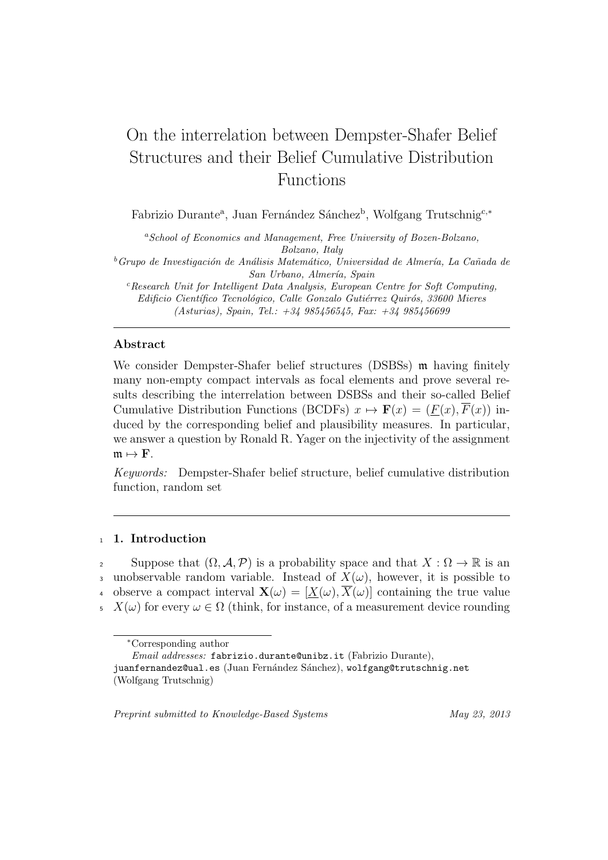# On the interrelation between Dempster-Shafer Belief Structures and their Belief Cumulative Distribution Functions

Fabrizio Durante<sup>a</sup>, Juan Fernández Sánchez<sup>b</sup>, Wolfgang Trutschnig<sup>c,∗</sup>

*<sup>a</sup>School of Economics and Management, Free University of Bozen-Bolzano, Bolzano, Italy*

<sup>*b*</sup> Grupo de Investigación de Análisis Matemático, Universidad de Almería, La Cañada de *San Urbano, Almer´ıa, Spain*

*<sup>c</sup>Research Unit for Intelligent Data Analysis, European Centre for Soft Computing, Edificio Científico Tecnológico, Calle Gonzalo Gutiérrez Quirós, 33600 Mieres (Asturias), Spain, Tel.: +34 985456545, Fax: +34 985456699*

## **Abstract**

We consider Dempster-Shafer belief structures (DSBSs) m having finitely many non-empty compact intervals as focal elements and prove several results describing the interrelation between DSBSs and their so-called Belief Cumulative Distribution Functions (BCDFs)  $x \mapsto \mathbf{F}(x) = (F(x), \overline{F}(x))$  induced by the corresponding belief and plausibility measures. In particular, we answer a question by Ronald R. Yager on the injectivity of the assignment  $m \mapsto F$ .

*Keywords:* Dempster-Shafer belief structure, belief cumulative distribution function, random set

### <sup>1</sup> **1. Introduction**

2 Suppose that  $(Ω, A, P)$  is a probability space and that  $X : Ω → ℝ$  is an unobservable random variable. Instead of  $X(\omega)$ , however, it is possible to observe a compact interval  $\mathbf{X}(\omega) = [X(\omega), \overline{X}(\omega)]$  containing the true value 5 *X*( $\omega$ ) for every  $\omega \in \Omega$  (think, for instance, of a measurement device rounding

*Preprint submitted to Knowledge-Based Systems May 23, 2013*

*<sup>∗</sup>*Corresponding author

*Email addresses:* fabrizio.durante@unibz.it (Fabrizio Durante),

juanfernandez@ual.es (Juan Fernández Sánchez), wolfgang@trutschnig.net (Wolfgang Trutschnig)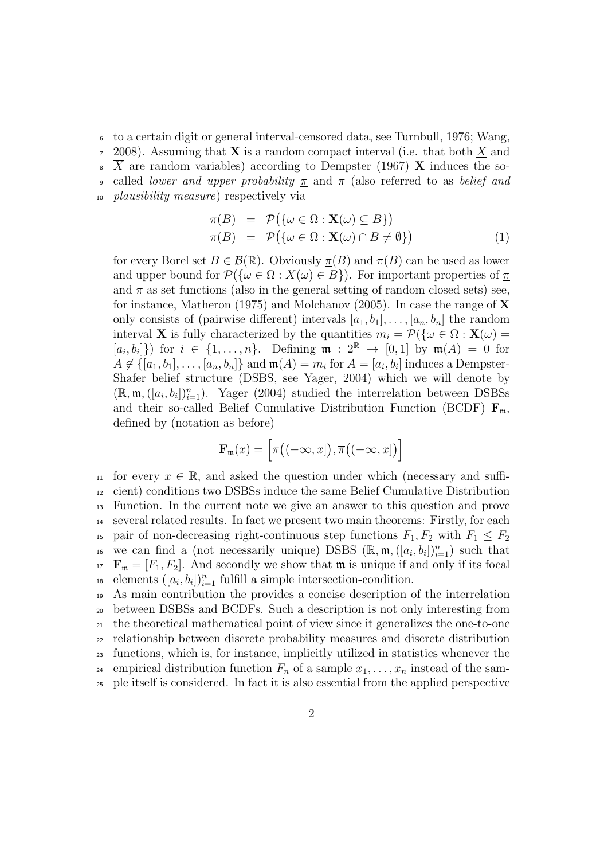to a certain digit or general interval-censored data, see Turnbull, 1976; Wang, 2008). Assuming that **X** is a random compact interval (i.e. that both *X* and *X* are random variables) according to Dempster (1967) **X** induces the so- called *lower and upper probability π* and *π* (also referred to as *belief and plausibility measure*) respectively via

$$
\underline{\pi}(B) = \mathcal{P}(\{\omega \in \Omega : \mathbf{X}(\omega) \subseteq B\})
$$
  

$$
\overline{\pi}(B) = \mathcal{P}(\{\omega \in \Omega : \mathbf{X}(\omega) \cap B \neq \emptyset\})
$$
(1)

for every Borel set  $B \in \mathcal{B}(\mathbb{R})$ . Obviously  $\pi(B)$  and  $\overline{\pi}(B)$  can be used as lower and upper bound for  $\mathcal{P}(\{\omega \in \Omega : X(\omega) \in B\})$ . For important properties of  $\pi$ and  $\bar{\pi}$  as set functions (also in the general setting of random closed sets) see, for instance, Matheron (1975) and Molchanov (2005). In case the range of **X** only consists of (pairwise different) intervals  $[a_1, b_1], \ldots, [a_n, b_n]$  the random interval **X** is fully characterized by the quantities  $m_i = \mathcal{P}(\{\omega \in \Omega : \mathbf{X}(\omega) =$  $[a_i, b_i]$ ) for  $i \in \{1, \ldots, n\}$ . Defining  $\mathfrak{m} : 2^{\mathbb{R}} \to [0,1]$  by  $\mathfrak{m}(A) = 0$  for  $A \notin \{[a_1, b_1], \ldots, [a_n, b_n]\}$  and  $\mathfrak{m}(A) = m_i$  for  $A = [a_i, b_i]$  induces a Dempster-Shafer belief structure (DSBS, see Yager, 2004) which we will denote by  $(\mathbb{R}, \mathfrak{m}, ([a_i, b_i])_{i=1}^n)$ . Yager (2004) studied the interrelation between DSBSs and their so-called Belief Cumulative Distribution Function (BCDF)  $\mathbf{F}_{m}$ , defined by (notation as before)

$$
\mathbf{F}_{\mathfrak{m}}(x) = \left[ \underline{\pi}\big((-\infty,x\big]), \overline{\pi}\big((-\infty,x\big]\big) \right]
$$

11 for every  $x \in \mathbb{R}$ , and asked the question under which (necessary and suffi-<sup>12</sup> cient) conditions two DSBSs induce the same Belief Cumulative Distribution <sup>13</sup> Function. In the current note we give an answer to this question and prove <sup>14</sup> several related results. In fact we present two main theorems: Firstly, for each 15 pair of non-decreasing right-continuous step functions  $F_1, F_2$  with  $F_1 \leq F_2$ we can find a (not necessarily unique) DSBS  $(\mathbb{R}, \mathfrak{m}, ([a_i, b_i])_{i=1}^n)$  such that  $F_m = [F_1, F_2]$ . And secondly we show that m is unique if and only if its focal <sup>18</sup> elements  $([a_i, b_i])_{i=1}^n$  fulfill a simple intersection-condition.

 As main contribution the provides a concise description of the interrelation between DSBSs and BCDFs. Such a description is not only interesting from the theoretical mathematical point of view since it generalizes the one-to-one relationship between discrete probability measures and discrete distribution functions, which is, for instance, implicitly utilized in statistics whenever the <sup>24</sup> empirical distribution function  $F_n$  of a sample  $x_1, \ldots, x_n$  instead of the sam-ple itself is considered. In fact it is also essential from the applied perspective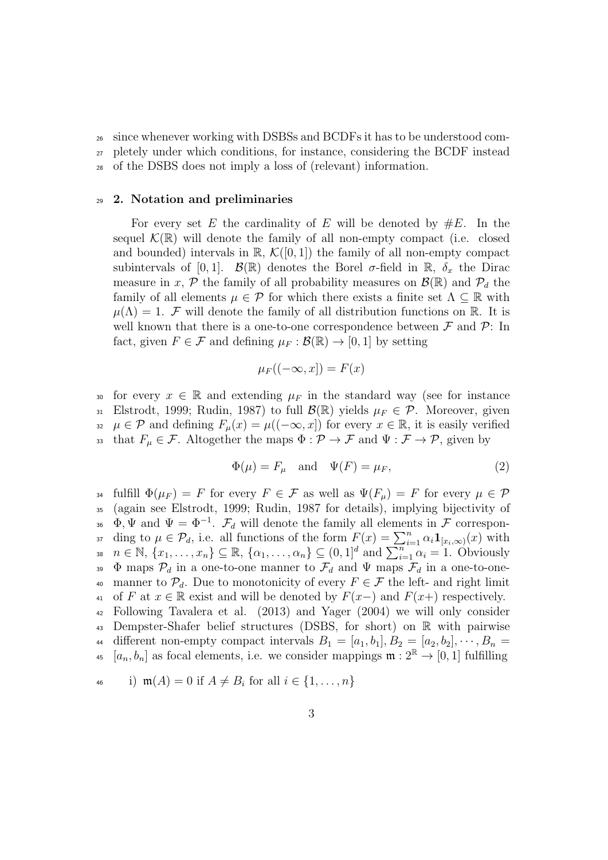<sup>26</sup> since whenever working with DSBSs and BCDFs it has to be understood com-<sup>27</sup> pletely under which conditions, for instance, considering the BCDF instead <sup>28</sup> of the DSBS does not imply a loss of (relevant) information.

# <sup>29</sup> **2. Notation and preliminaries**

For every set E the cardinality of E will be denoted by  $\#E$ . In the sequel  $\mathcal{K}(\mathbb{R})$  will denote the family of all non-empty compact (i.e. closed and bounded) intervals in  $\mathbb{R}$ ,  $\mathcal{K}([0,1])$  the family of all non-empty compact subintervals of [0,1].  $\mathcal{B}(\mathbb{R})$  denotes the Borel  $\sigma$ -field in  $\mathbb{R}$ ,  $\delta_x$  the Dirac measure in *x*,  $P$  the family of all probability measures on  $\mathcal{B}(\mathbb{R})$  and  $P_d$  the family of all elements  $\mu \in \mathcal{P}$  for which there exists a finite set  $\Lambda \subseteq \mathbb{R}$  with  $\mu(\Lambda) = 1$ . *F* will denote the family of all distribution functions on R. It is well known that there is a one-to-one correspondence between  $\mathcal F$  and  $\mathcal P$ : In fact, given  $F \in \mathcal{F}$  and defining  $\mu_F : \mathcal{B}(\mathbb{R}) \to [0, 1]$  by setting

$$
\mu_F((-\infty, x]) = F(x)
$$

30 for every  $x \in \mathbb{R}$  and extending  $\mu_F$  in the standard way (see for instance 31 Elstrodt, 1999; Rudin, 1987) to full  $\mathcal{B}(\mathbb{R})$  yields  $\mu_F \in \mathcal{P}$ . Moreover, given  $\mu \in \mathcal{P}$  and defining  $F_{\mu}(x) = \mu((-\infty, x])$  for every  $x \in \mathbb{R}$ , it is easily verified 33 that  $F_{\mu} \in \mathcal{F}$ . Altogether the maps  $\Phi : \mathcal{P} \to \mathcal{F}$  and  $\Psi : \mathcal{F} \to \mathcal{P}$ , given by

$$
\Phi(\mu) = F_{\mu} \quad \text{and} \quad \Psi(F) = \mu_F,\tag{2}
$$

34 fulfill  $\Phi(\mu_F) = F$  for every  $F \in \mathcal{F}$  as well as  $\Psi(F_\mu) = F$  for every  $\mu \in \mathcal{P}$ <sup>35</sup> (again see Elstrodt, 1999; Rudin, 1987 for details), implying bijectivity of  $\Phi$ ,  $\Psi$  and  $\Psi = \Phi^{-1}$ .  $\mathcal{F}_d$  will denote the family all elements in  $\mathcal F$  correspon- $\partial$  *a* ding to  $\mu \in \mathcal{P}_d$ , i.e. all functions of the form  $F(x) = \sum_{i=1}^n \alpha_i \mathbf{1}_{[x_i,\infty)}(x)$  with  $n \in \mathbb{N}, \{x_1, \ldots, x_n\} \subseteq \mathbb{R}, \{\alpha_1, \ldots, \alpha_n\} \subseteq (0, 1]^d \text{ and } \sum_{i=1}^n \alpha_i = 1.$  Obviously 39 Φ maps  $\mathcal{P}_d$  in a one-to-one manner to  $\mathcal{F}_d$  and  $\Psi$  maps  $\mathcal{F}_d$  in a one-to-one-40 manner to  $\mathcal{P}_d$ . Due to monotonicity of every  $F \in \mathcal{F}$  the left- and right limit 41 of *F* at *x* ∈ R exist and will be denoted by  $F(x-)$  and  $F(x+)$  respectively. <sup>42</sup> Following Tavalera et al. (2013) and Yager (2004) we will only consider <sup>43</sup> Dempster-Shafer belief structures (DSBS, for short) on R with pairwise 44 different non-empty compact intervals  $B_1 = [a_1, b_1], B_2 = [a_2, b_2], \cdots, B_n =$ <sup>45</sup>  $[a_n, b_n]$  as focal elements, i.e. we consider mappings  $\mathfrak{m} : 2^{\mathbb{R}} \to [0, 1]$  fulfilling

$$
\text{46} \qquad \text{i) } \mathfrak{m}(A) = 0 \text{ if } A \neq B_i \text{ for all } i \in \{1, \dots, n\}
$$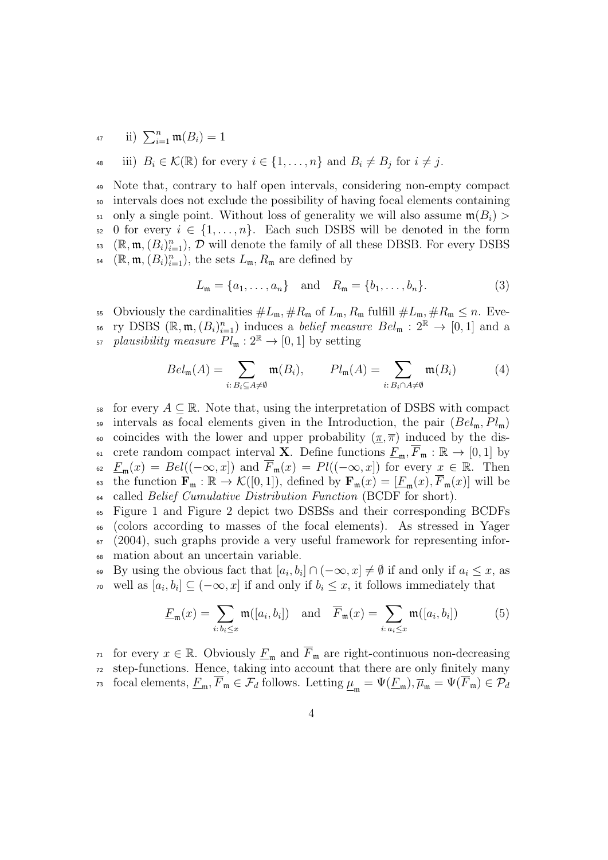47 **ii**)  $\sum_{i=1}^{n} \mathfrak{m}(B_i) = 1$ 

$$
\text{48} \quad \text{iii)} \ \ B_i \in \mathcal{K}(\mathbb{R}) \ \text{for every} \ i \in \{1, \dots, n\} \ \text{and} \ B_i \neq B_j \ \text{for} \ i \neq j.
$$

<sup>49</sup> Note that, contrary to half open intervals, considering non-empty compact <sup>50</sup> intervals does not exclude the possibility of having focal elements containing 51 only a single point. Without loss of generality we will also assume  $\mathfrak{m}(B_i)$ 52 0 for every  $i \in \{1, \ldots, n\}$ . Each such DSBS will be denoted in the form  $\mathbb{R}^3$  ( $\mathbb{R}, \mathfrak{m}, (B_i)_{i=1}^n$ ),  $\mathcal{D}$  will denote the family of all these DBSB. For every DSBS  $\mathbb{R}^4$  ( $\mathbb{R}, \mathfrak{m}, (B_i)_{i=1}^n$ ), the sets  $L_{\mathfrak{m}}, R_{\mathfrak{m}}$  are defined by

$$
L_{\mathfrak{m}} = \{a_1, \dots, a_n\} \text{ and } R_{\mathfrak{m}} = \{b_1, \dots, b_n\}.
$$
 (3)

55 Obviously the cardinalities  $\#L_{\mathfrak{m}}, \#R_{\mathfrak{m}}$  of  $L_{\mathfrak{m}}, R_{\mathfrak{m}}$  fulfill  $\#L_{\mathfrak{m}}, \#R_{\mathfrak{m}} \leq n$ . Eve- $\mathbb{R}^n$  is ry DSBS  $(\mathbb{R}, \mathfrak{m}, (B_i)_{i=1}^n)$  induces a *belief measure*  $Bel_{\mathfrak{m}} : 2^{\mathbb{R}} \to [0,1]$  and a  $p$ *lausibility measure*  $Pl_{\mathfrak{m}} : 2^{\mathbb{R}} \to [0,1]$  by setting

$$
Bel_{\mathfrak{m}}(A) = \sum_{i: B_i \subseteq A \neq \emptyset} \mathfrak{m}(B_i), \qquad Pl_{\mathfrak{m}}(A) = \sum_{i: B_i \cap A \neq \emptyset} \mathfrak{m}(B_i) \tag{4}
$$

for every  $A \subseteq \mathbb{R}$ . Note that, using the interpretation of DSBS with compact <sup>59</sup> intervals as focal elements given in the Introduction, the pair (*Bel*m*, Pl*m) 60 coincides with the lower and upper probability  $(\pi, \overline{\pi})$  induced by the dis-61 crete random compact interval **X**. Define functions  $\underline{F}_{\mathfrak{m}}$ ,  $\overline{F}_{\mathfrak{m}}$  :  $\mathbb{R} \to [0,1]$  by 62  $\underline{F}_{\mathfrak{m}}(x) = Bel((-\infty, x])$  and  $\overline{F}_{\mathfrak{m}}(x) = Pl((-\infty, x])$  for every  $x \in \mathbb{R}$ . Then 63 the function  $\mathbf{F}_{\mathfrak{m}} : \mathbb{R} \to \mathcal{K}([0,1])$ , defined by  $\mathbf{F}_{\mathfrak{m}}(x) = [\underline{F}_{\mathfrak{m}}(x), \overline{F}_{\mathfrak{m}}(x)]$  will be <sup>64</sup> called *Belief Cumulative Distribution Function* (BCDF for short).

 Figure 1 and Figure 2 depict two DSBSs and their corresponding BCDFs (colors according to masses of the focal elements). As stressed in Yager (2004), such graphs provide a very useful framework for representing infor-mation about an uncertain variable.

 $\mathbb{R}^9$  By using the obvious fact that  $[a_i, b_i] \cap (-\infty, x] \neq \emptyset$  if and only if  $a_i \leq x$ , as <sup>70</sup> well as  $[a_i, b_i] \subseteq (-\infty, x]$  if and only if  $b_i \leq x$ , it follows immediately that

$$
\underline{F}_{\mathfrak{m}}(x) = \sum_{i: b_i \le x} \mathfrak{m}([a_i, b_i]) \quad \text{and} \quad \overline{F}_{\mathfrak{m}}(x) = \sum_{i: a_i \le x} \mathfrak{m}([a_i, b_i]) \tag{5}
$$

71 for every *x* ∈ R. Obviously  $\underline{F}_{\text{m}}$  and  $\overline{F}_{\text{m}}$  are right-continuous non-decreasing <sup>72</sup> step-functions. Hence, taking into account that there are only finitely many focal elements,  $\underline{F}_{\mathfrak{m}}$ ,  $F_{\mathfrak{m}} \in \mathcal{F}_d$  follows. Letting  $\underline{\mu}_{\mathfrak{m}} = \Psi(\underline{F}_{\mathfrak{m}})$ ,  $\overline{\mu}_{\mathfrak{m}} = \Psi(F_{\mathfrak{m}}) \in \mathcal{P}_d$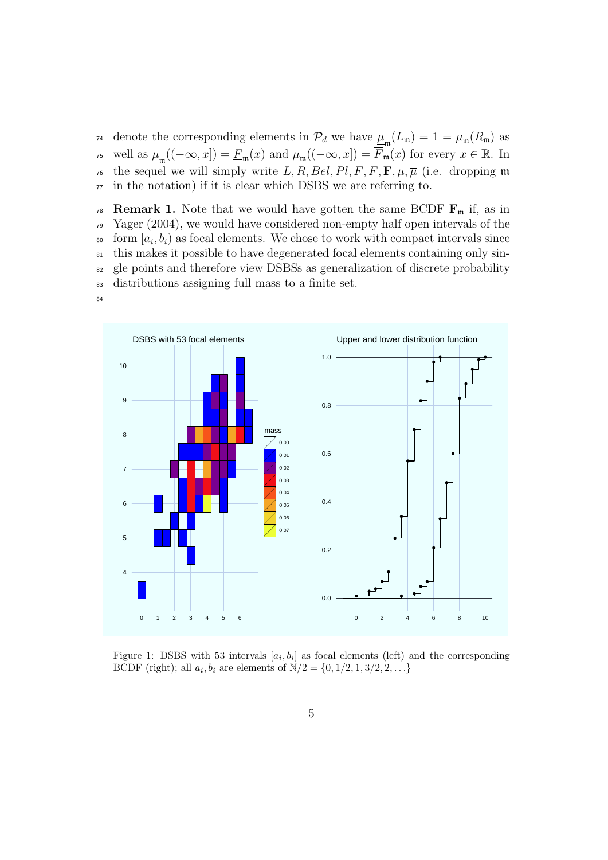denote the corresponding elements in  $\mathcal{P}_d$  we have  $\underline{\mu}_{\mathfrak{m}}(L_{\mathfrak{m}}) = 1 = \overline{\mu}_{\mathfrak{m}}(R_{\mathfrak{m}})$  as  $\mathcal{F}_{\mathcal{F}}$  well as  $\underline{\mu}_{\mathfrak{m}}((-\infty, x]) = \underline{F}_{\mathfrak{m}}(x)$  and  $\overline{\mu}_{\mathfrak{m}}((-\infty, x]) = \underline{F}_{\mathfrak{m}}(x)$  for every  $x \in \mathbb{R}$ . In <sup>16</sup> the sequel we will simply write *L*, *R*, *Bel*, *Pl*, <u>F</u>, **F**, **µ**,  $\overline{\mu}$  (i.e. dropping m  $77$  in the notation) if it is clear which DSBS we are referring to.

**Remark 1.** Note that we would have gotten the same BCDF  $\mathbf{F}_{m}$  if, as in Yager (2004), we would have considered non-empty half open intervals of the  $\delta$  form  $[a_i, b_i)$  as focal elements. We chose to work with compact intervals since this makes it possible to have degenerated focal elements containing only sin- gle points and therefore view DSBSs as generalization of discrete probability distributions assigning full mass to a finite set.

84



Figure 1: DSBS with 53 intervals  $[a_i, b_i]$  as focal elements (left) and the corresponding BCDF (right); all  $a_i, b_i$  are elements of  $N/2 = \{0, 1/2, 1, 3/2, 2, ...\}$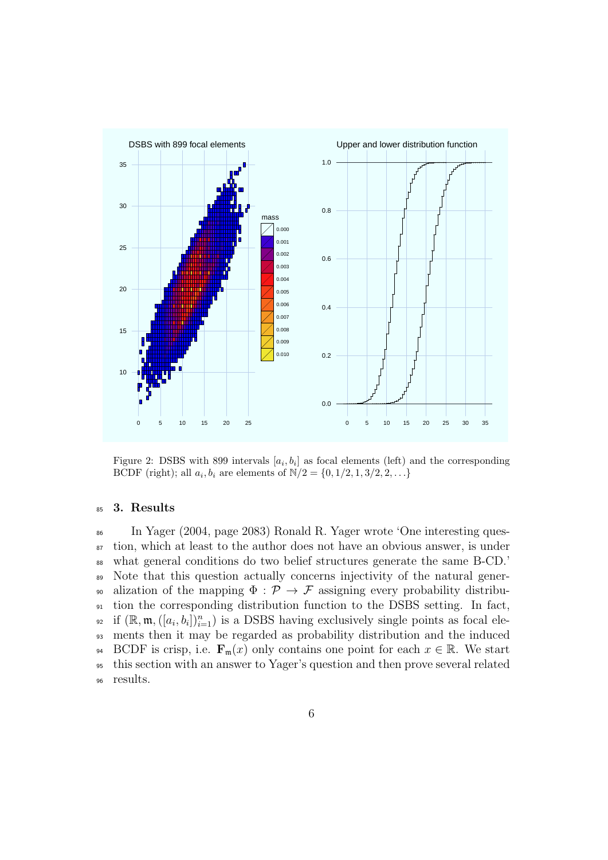

Figure 2: DSBS with 899 intervals  $[a_i, b_i]$  as focal elements (left) and the corresponding BCDF (right); all  $a_i, b_i$  are elements of  $N/2 = \{0, 1/2, 1, 3/2, 2, ...\}$ 

### <sup>85</sup> **3. Results**

 In Yager (2004, page 2083) Ronald R. Yager wrote 'One interesting ques- tion, which at least to the author does not have an obvious answer, is under what general conditions do two belief structures generate the same B-CD.' Note that this question actually concerns injectivity of the natural gener-<sup>90</sup> alization of the mapping  $\Phi : \mathcal{P} \to \mathcal{F}$  assigning every probability distribu- tion the corresponding distribution function to the DSBS setting. In fact, <sup>92</sup> if  $(\mathbb{R}, \mathfrak{m}, ([a_i, b_i])_{i=1}^n)$  is a DSBS having exclusively single points as focal ele- ments then it may be regarded as probability distribution and the induced 94 BCDF is crisp, i.e.  $\mathbf{F}_{\mathfrak{m}}(x)$  only contains one point for each  $x \in \mathbb{R}$ . We start this section with an answer to Yager's question and then prove several related <sup>96</sup> results.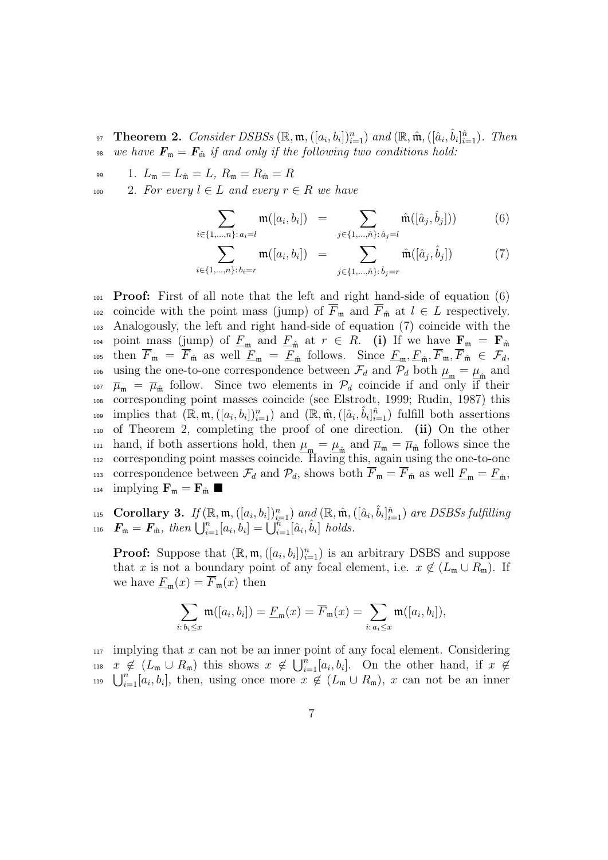- <sup>97</sup> Theorem 2. Consider DSBSs  $(\mathbb{R}, \mathfrak{m}, ([a_i, b_i])_{i=1}^n)$  and  $(\mathbb{R}, \hat{\mathfrak{m}}, ([\hat{a}_i, \hat{b}_i]_{i=1}^n)$ . Then 98 *we have*  $\mathbf{F}_{\mathfrak{m}} = \mathbf{F}_{\hat{\mathfrak{m}}}$  *if and only if the following two conditions hold:*
- 99 1.  $L_{\mathfrak{m}} = L_{\hat{\mathfrak{m}}} = L, R_{\mathfrak{m}} = R_{\hat{\mathfrak{m}}} = R$

*i∈{*1*,...,n}*: *ai*=*l*

100 2. For every  $l \in L$  and every  $r \in R$  we have

$$
\sum_{\{1,\ldots,n\}:a_i=l}\mathfrak{m}([a_i,b_i]) = \sum_{j\in\{1,\ldots,\hat{n}\}: \hat{a}_j=l}\hat{\mathfrak{m}}([\hat{a}_j,\hat{b}_j]))\tag{6}
$$

$$
\sum_{i \in \{1, \dots, n\}: b_i = r} \mathfrak{m}([a_i, b_i]) = \sum_{j \in \{1, \dots, \hat{n}\}: \hat{b}_j = r} \hat{\mathfrak{m}}([\hat{a}_j, \hat{b}_j])
$$
(7)

<sup>101</sup> **Proof:** First of all note that the left and right hand-side of equation (6) 102 coincide with the point mass (jump) of  $\overline{F}_{\mathfrak{m}}$  and  $\overline{F}_{\hat{\mathfrak{m}}}$  at  $l \in L$  respectively. <sup>103</sup> Analogously, the left and right hand-side of equation (7) coincide with the 104 point mass (jump) of  $\underline{F}_{\mathfrak{m}}$  and  $\underline{F}_{\hat{\mathfrak{m}}}$  at  $r \in R$ . (i) If we have  $\mathbf{F}_{\mathfrak{m}} = \mathbf{F}_{\hat{\mathfrak{m}}}$ then  $F_{\mathfrak{m}} = F_{\hat{\mathfrak{m}}}$  as well  $\underline{F}_{\mathfrak{m}} = \underline{F}_{\hat{\mathfrak{m}}}$  follows. Since  $\underline{F}_{\mathfrak{m}}, \underline{F}_{\hat{\mathfrak{m}}}, F_{\hat{\mathfrak{m}}} \in \mathcal{F}_d$ , using the one-to-one correspondence between  $\mathcal{F}_d$  and  $\mathcal{P}_d$  both  $\mu_m = \mu_{\hat{m}}$  and <sup>107</sup>  $\bar{\mu}_{m} = \bar{\mu}_{m}$  follow. Since two elements in  $\mathcal{P}_{d}$  coincide if and only if their <sup>108</sup> corresponding point masses coincide (see Elstrodt, 1999; Rudin, 1987) this implies that  $(\mathbb{R}, \mathfrak{m}, ([a_i, b_i])_{i=1}^n)$  and  $(\mathbb{R}, \hat{\mathfrak{m}}, ([\hat{a}_i, \hat{b}_i]_{i=1}^n)$  fulfill both assertions <sup>110</sup> of Theorem 2, completing the proof of one direction. **(ii)** On the other hand, if both assertions hold, then  $\mu_{\mathfrak{m}} = \mu_{\hat{\mathfrak{m}}}$  and  $\overline{\mu}_{\mathfrak{m}} = \overline{\mu}_{\hat{\mathfrak{m}}}$  follows since the <sup>112</sup> corresponding point masses coincide. Having this, again using the one-to-one correspondence between  $\mathcal{F}_d$  and  $\mathcal{P}_d$ , shows both  $F_{\mathfrak{m}} = F_{\hat{\mathfrak{m}}}$  as well  $\underline{F}_{\mathfrak{m}} = \underline{F}_{\hat{\mathfrak{m}}}$ , 114 implying  $\mathbf{F}_{\mathfrak{m}} = \mathbf{F}_{\hat{\mathfrak{m}}}$ 

115 **Corollary 3.** If  $(\mathbb{R}, \mathfrak{m}, ([a_i, b_i])_{i=1}^n)$  and  $(\mathbb{R}, \hat{\mathfrak{m}}, ([\hat{a}_i, \hat{b}_i]_{i=1}^n)$  are DSBSs fulfilling  $\bm{F}_{\mathfrak{m}} = \bm{F}_{\hat{\mathfrak{m}}}$ , then  $\bigcup_{i=1}^{n} [a_i, b_i] = \bigcup_{i=1}^{n} [\hat{a}_i, \hat{b}_i]$  holds.

**Proof:** Suppose that  $(\mathbb{R}, \mathfrak{m}, ([a_i, b_i])_{i=1}^n)$  is an arbitrary DSBS and suppose that *x* is not a boundary point of any focal element, i.e.  $x \notin (L_{\mathfrak{m}} \cup R_{\mathfrak{m}})$ . If we have  $\underline{F}_{\mathfrak{m}}(x) = \overline{F}_{\mathfrak{m}}(x)$  then

$$
\sum_{i:\,b_i\leq x}\mathfrak{m}([a_i,b_i])=\underline{F}_{\mathfrak{m}}(x)=\overline{F}_{\mathfrak{m}}(x)=\sum_{i:\,a_i\leq x}\mathfrak{m}([a_i,b_i]),
$$

<sup>117</sup> implying that *x* can not be an inner point of any focal element. Considering  $x \notin (L_m \cup R_m)$  this shows  $x \notin \bigcup_{i=1}^n [a_i, b_i]$ . On the other hand, if  $x \notin$  $\bigcup_{i=1}^{n} [a_i, b_i]$ , then, using once more  $x \notin (L_{\mathfrak{m}} \cup R_{\mathfrak{m}})$ , *x* can not be an inner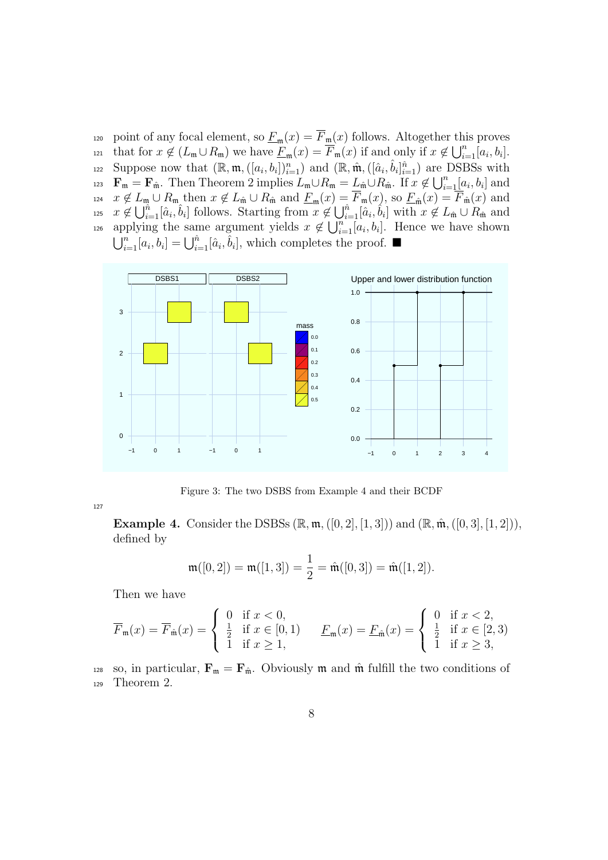120 point of any focal element, so  $\underline{F}_{\mathfrak{m}}(x) = F_{\mathfrak{m}}(x)$  follows. Altogether this proves that for  $x \notin (L_{\mathfrak{m}} \cup R_{\mathfrak{m}})$  we have  $\underline{F}_{\mathfrak{m}}(x) = \overline{F}_{\mathfrak{m}}(x)$  if and only if  $x \notin \bigcup_{i=1}^{n} [a_i, b_i]$ . suppose now that  $(\mathbb{R}, \mathfrak{m}, ([a_i, b_i])_{i=1}^n)$  and  $(\mathbb{R}, \hat{\mathfrak{m}}, ([\hat{a}_i, \hat{b}_i]_{i=1}^n)$  are DSBSs with **F**<sub>m</sub> = **F**<sub>m</sub>̂. Then Theorem 2 implies  $L_m \cup R_m = L_m \cup R_m$ . If  $x \notin \bigcup_{i=1}^n [a_i, b_i]$  and *x* ∉  $L_m \cup R_m$  then  $x \notin L_{\hat{\mathfrak{m}}} \cup R_{\hat{\mathfrak{m}}}$  and  $\underline{F}_m(x) = F_m(x)$ , so  $\underline{F}_{\hat{\mathfrak{m}}}(x) = F_{\hat{\mathfrak{m}}}(x)$  and <sup>125</sup>  $x \notin \bigcup_{i=1}^{\hat{n}} [\hat{a}_i, \hat{b}_i]$  follows. Starting from  $x \notin \bigcup_{i=1}^{\hat{n}} [\hat{a}_i, \hat{b}_i]$  with  $x \notin L_{\hat{\mathfrak{m}}} \cup R_{\hat{\mathfrak{m}}}$  and applying the same argument yields  $x \notin \bigcup_{i=1}^{n} [a_i, b_i]$ . Hence we have shown  $\bigcup_{i=1}^{n} [a_i, b_i] = \bigcup_{i=1}^{n} [\hat{a}_i, \hat{b}_i]$ , which completes the proof. ■



Figure 3: The two DSBS from Example 4 and their BCDF

127

**Example 4.** Consider the DSBSs  $(\mathbb{R}, \mathfrak{m}, ([0, 2], [1, 3]))$  and  $(\mathbb{R}, \hat{\mathfrak{m}}, ([0, 3], [1, 2]))$ , defined by

$$
\mathfrak{m}([0,2]) = \mathfrak{m}([1,3]) = \frac{1}{2} = \hat{\mathfrak{m}}([0,3]) = \hat{\mathfrak{m}}([1,2]).
$$

Then we have

$$
\overline{F}_{\mathfrak{m}}(x) = \overline{F}_{\hat{\mathfrak{m}}}(x) = \begin{cases} 0 & \text{if } x < 0, \\ \frac{1}{2} & \text{if } x \in [0, 1) \\ 1 & \text{if } x \ge 1, \end{cases} \qquad \underline{F}_{\mathfrak{m}}(x) = \underline{F}_{\hat{\mathfrak{m}}}(x) = \begin{cases} 0 & \text{if } x < 2, \\ \frac{1}{2} & \text{if } x \in [2, 3) \\ 1 & \text{if } x \ge 3, \end{cases}
$$

128 so, in particular,  $\mathbf{F}_{\mathfrak{m}} = \mathbf{F}_{\hat{\mathfrak{m}}}$ . Obviously  $\mathfrak{m}$  and  $\hat{\mathfrak{m}}$  fulfill the two conditions of <sup>129</sup> Theorem 2.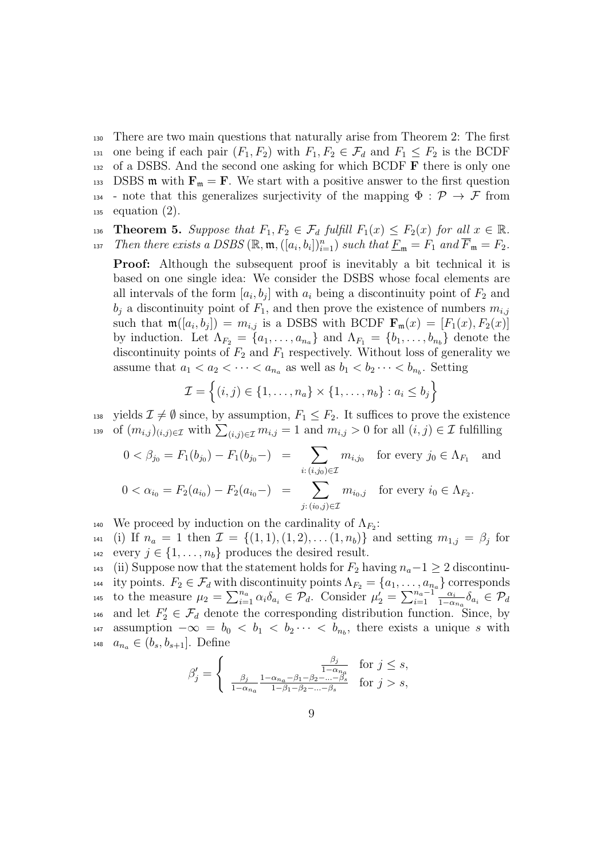<sup>130</sup> There are two main questions that naturally arise from Theorem 2: The first 131 one being if each pair  $(F_1, F_2)$  with  $F_1, F_2 \in \mathcal{F}_d$  and  $F_1 \leq F_2$  is the BCDF <sup>132</sup> of a DSBS. And the second one asking for which BCDF **F** there is only one 133 DSBS m with  $\mathbf{F}_{\mathfrak{m}} = \mathbf{F}$ . We start with a positive answer to the first question <sup>134</sup> - note that this generalizes surjectivity of the mapping  $\Phi : \mathcal{P} \to \mathcal{F}$  from  $_{135}$  equation  $(2)$ .

136 **Theorem 5.** Suppose that  $F_1, F_2 \in \mathcal{F}_d$  fulfill  $F_1(x) \leq F_2(x)$  for all  $x \in \mathbb{R}$ .

*Then there exists a DSBS*  $(\mathbb{R}, \mathfrak{m}, ([a_i, b_i])_{i=1}^n)$  *such that*  $\underline{F}_{\mathfrak{m}} = F_1$  *and*  $\overline{F}_{\mathfrak{m}} = F_2$ *.* 

**Proof:** Although the subsequent proof is inevitably a bit technical it is based on one single idea: We consider the DSBS whose focal elements are all intervals of the form  $[a_i, b_j]$  with  $a_i$  being a discontinuity point of  $F_2$  and  $b_j$  a discontinuity point of  $F_1$ , and then prove the existence of numbers  $m_{i,j}$ such that  $\mathfrak{m}([a_i, b_j]) = m_{i,j}$  is a DSBS with BCDF  $\mathbf{F}_{\mathfrak{m}}(x) = [F_1(x), F_2(x)]$ by induction. Let  $\Lambda_{F_2} = \{a_1, \ldots, a_{n_a}\}\$ and  $\Lambda_{F_1} = \{b_1, \ldots, b_{n_b}\}\$ denote the discontinuity points of  $F_2$  and  $F_1$  respectively. Without loss of generality we assume that  $a_1 < a_2 < \cdots < a_{n_a}$  as well as  $b_1 < b_2 \cdots < b_{n_b}$ . Setting

$$
\mathcal{I} = \left\{ (i,j) \in \{1,\ldots,n_a\} \times \{1,\ldots,n_b\} : a_i \leq b_j \right\}
$$

138 yields  $\mathcal{I} \neq \emptyset$  since, by assumption,  $F_1 \leq F_2$ . It suffices to prove the existence 139 of  $(m_{i,j})_{(i,j)\in\mathcal{I}}$  with  $\sum_{(i,j)\in\mathcal{I}} m_{i,j} = 1$  and  $m_{i,j} > 0$  for all  $(i,j) \in \mathcal{I}$  fulfilling

$$
0 < \beta_{j_0} = F_1(b_{j_0}) - F_1(b_{j_0}) = \sum_{i:(i,j_0) \in \mathcal{I}} m_{i,j_0} \quad \text{for every } j_0 \in \Lambda_{F_1} \quad \text{and}
$$
\n
$$
0 < \alpha_{i_0} = F_2(a_{i_0}) - F_2(a_{i_0}) = \sum_{j:(i_0,j) \in \mathcal{I}} m_{i_0,j} \quad \text{for every } i_0 \in \Lambda_{F_2}.
$$

140 We proceed by induction on the cardinality of  $\Lambda_{F_2}$ :

 $n_4$  (i) If  $n_a = 1$  then  $\mathcal{I} = \{(1,1), (1,2), \ldots (1,n_b)\}$  and setting  $m_{1,j} = \beta_j$  for 142 every  $j \in \{1, \ldots, n_b\}$  produces the desired result.

143 (ii) Suppose now that the statement holds for  $F_2$  having  $n_a-1 \geq 2$  discontinu-144 ity points.  $F_2 \in \mathcal{F}_d$  with discontinuity points  $\Lambda_{F_2} = \{a_1, \ldots, a_{n_a}\}$  corresponds to the measure  $\mu_2 = \sum_{i=1}^{n_a} \alpha_i \delta_{a_i} \in \mathcal{P}_d$ . Consider  $\mu'_2 = \sum_{i=1}^{n_a-1} \frac{\alpha_i}{1-\alpha_i}$ 145 to the measure  $\mu_2 = \sum_{i=1}^{n_a} \alpha_i \delta_{a_i} \in \mathcal{P}_d$ . Consider  $\mu'_2 = \sum_{i=1}^{n_a-1} \frac{\alpha_i}{1-\alpha_{n_a}} \delta_{a_i} \in \mathcal{P}_d$ <sup>146</sup> and let  $F'_{2} \in \mathcal{F}_{d}$  denote the corresponding distribution function. Since, by  $a_{147}$  assumption  $-\infty = b_0 < b_1 < b_2 \cdots < b_{n_b}$ , there exists a unique *s* with 148  $a_{n_a} \in (b_s, b_{s+1}]$ . Define

$$
\beta_j' = \begin{cases} \frac{\beta_j}{1 - \alpha_{n_a}} & \text{for } j \le s, \\ \frac{\beta_j}{1 - \alpha_{n_a}} \frac{1 - \alpha_{n_a} - \beta_1 - \beta_2 - \dots - \beta_s}{1 - \beta_1 - \beta_2 - \dots - \beta_s} & \text{for } j > s, \end{cases}
$$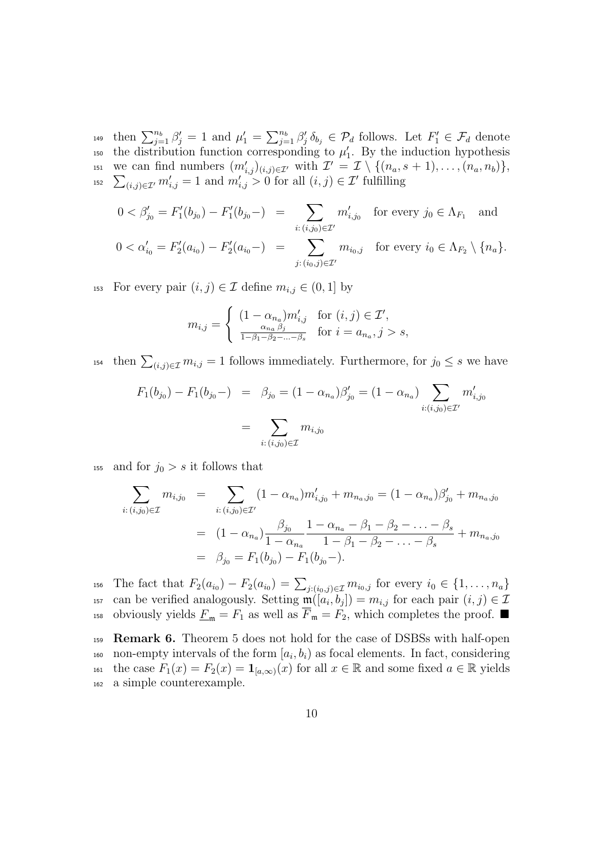then  $\sum_{j=1}^{n_b} \beta'_j = 1$  and  $\mu'_1 = \sum_{j=1}^{n_b} \beta'_j \delta_{b_j} \in \mathcal{P}_d$  follows. Let  $F'_1 \in \mathcal{F}_d$  denote the distribution function corresponding to  $\mu'_{1}$ . By the induction hypothesis we can find numbers  $(m'_{i,j})_{(i,j)\in\mathcal{I}'}$  with  $\mathcal{I}' = \mathcal{I} \setminus \{(n_a, s+1), \ldots, (n_a, n_b)\},$ <br>  $\sum_{(i,j)\in\mathcal{I}'} m'_{i,j} = 1$  and  $m'_{i,j} > 0$  for all  $(i,j) \in \mathcal{I}'$  fulfilling <sup>152</sup>  $\sum_{(i,j)\in\mathcal{I}'} m'_{i,j} = 1$  and  $m'_{i,j} > 0$  for all  $(i,j) \in \mathcal{I}'$  fulfilling

$$
0 < \beta'_{j_0} = F'_1(b_{j_0}) - F'_1(b_{j_0}) = \sum_{i:(i,j_0) \in \mathcal{I}'} m'_{i,j_0} \quad \text{for every } j_0 \in \Lambda_{F_1} \quad \text{and}
$$
\n
$$
0 < \alpha'_{i_0} = F'_2(a_{i_0}) - F'_2(a_{i_0}) = \sum_{j:(i_0,j) \in \mathcal{I}'} m_{i_0,j} \quad \text{for every } i_0 \in \Lambda_{F_2} \setminus \{n_a\}.
$$

153 For every pair  $(i, j) \in \mathcal{I}$  define  $m_{i,j} \in (0, 1]$  by

$$
m_{i,j} = \begin{cases} (1 - \alpha_{n_a}) m'_{i,j} & \text{for } (i,j) \in \mathcal{I}',\\ \frac{\alpha_{n_a} \beta_j}{1 - \beta_1 - \beta_2 - \dots - \beta_s} & \text{for } i = a_{n_a}, j > s, \end{cases}
$$

then  $\sum_{(i,j)\in\mathcal{I}} m_{i,j} = 1$  follows immediately. Furthermore, for  $j_0 \leq s$  we have

$$
F_1(b_{j_0}) - F_1(b_{j_0}) = \beta_{j_0} = (1 - \alpha_{n_a})\beta'_{j_0} = (1 - \alpha_{n_a}) \sum_{i:(i,j_0) \in \mathcal{I}'} m'_{i,j_0}
$$

$$
= \sum_{i:(i,j_0) \in \mathcal{I}} m_{i,j_0}
$$

<sup>155</sup> and for  $j_0 > s$  it follows that

$$
\sum_{i:(i,j_0)\in\mathcal{I}} m_{i,j_0} = \sum_{i:(i,j_0)\in\mathcal{I}'} (1-\alpha_{n_a})m'_{i,j_0} + m_{n_a,j_0} = (1-\alpha_{n_a})\beta'_{j_0} + m_{n_a,j_0}
$$

$$
= (1-\alpha_{n_a})\frac{\beta_{j_0}}{1-\alpha_{n_a}}\frac{1-\alpha_{n_a}-\beta_1-\beta_2-\ldots-\beta_s}{1-\beta_1-\beta_2-\ldots-\beta_s} + m_{n_a,j_0}
$$

$$
= \beta_{j_0} = F_1(b_{j_0}) - F_1(b_{j_0})
$$

156 The fact that  $F_2(a_{i_0}) - F_2(a_{i_0}) = \sum_{j:(i_0,j)\in\mathcal{I}} m_{i_0,j}$  for every  $i_0 \in \{1,\ldots,n_a\}$ <sup>157</sup> can be verified analogously. Setting  $\mathfrak{m}([a_i, b_j]) = m_{i,j}$  for each pair  $(i, j) \in \mathcal{I}$ <sup>158</sup> obviously yields  $\underline{F}_{\mathfrak{m}} = F_1$  as well as  $\overline{F}_{\mathfrak{m}} = F_2$ , which completes the proof.  $\blacksquare$ 

<sup>159</sup> **Remark 6.** Theorem 5 does not hold for the case of DSBSs with half-open non-empty intervals of the form  $[a_i, b_i]$  as focal elements. In fact, considering 161 the case  $F_1(x) = F_2(x) = \mathbf{1}_{[a,\infty)}(x)$  for all  $x \in \mathbb{R}$  and some fixed  $a \in \mathbb{R}$  yields <sup>162</sup> a simple counterexample.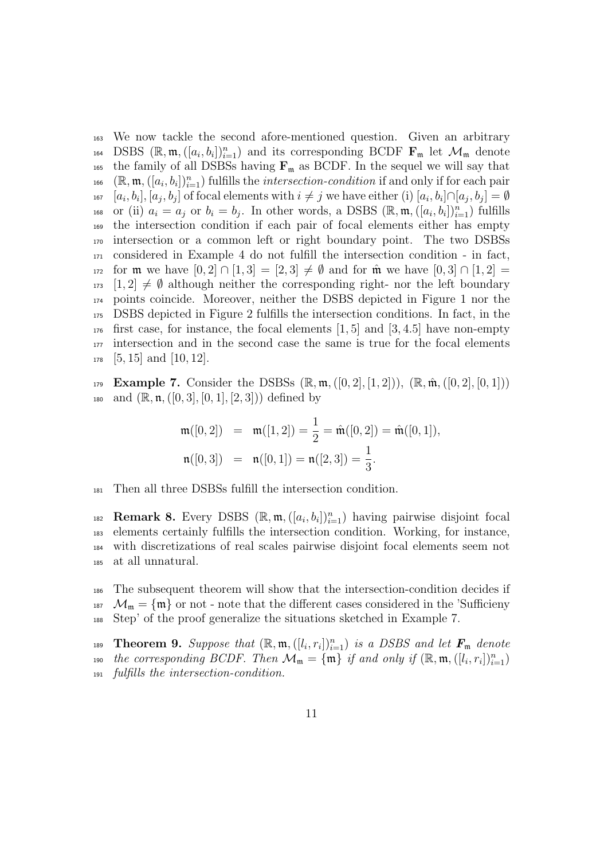<sup>163</sup> We now tackle the second afore-mentioned question. Given an arbitrary 164 DSBS  $(\mathbb{R}, \mathfrak{m}, ([a_i, b_i])_{i=1}^n)$  and its corresponding BCDF  $\mathbf{F}_{\mathfrak{m}}$  let  $\mathcal{M}_{\mathfrak{m}}$  denote <sup>165</sup> the family of all DSBSs having  $\mathbf{F}_{m}$  as BCDF. In the sequel we will say that  $\mathbb{R}^n$  ( $\mathbb{R}, \mathfrak{m}, ([a_i, b_i])_{i=1}^n$ ) fulfills the *intersection-condition* if and only if for each pair <sup>167</sup>  $[a_i, b_i], [a_j, b_j]$  of focal elements with  $i \neq j$  we have either (i)  $[a_i, b_i] \cap [a_j, b_j] = \emptyset$ 168 or (ii)  $a_i = a_j$  or  $b_i = b_j$ . In other words, a DSBS  $(\mathbb{R}, \mathfrak{m}, ([a_i, b_i])_{i=1}^n)$  fulfills <sup>169</sup> the intersection condition if each pair of focal elements either has empty <sup>170</sup> intersection or a common left or right boundary point. The two DSBSs <sup>171</sup> considered in Example 4 do not fulfill the intersection condition - in fact, 172 for **m** we have  $[0,2] \cap [1,3] = [2,3] \neq \emptyset$  and for  $\hat{\mathfrak{m}}$  we have  $[0,3] \cap [1,2] =$  $173 \quad [1,2] \neq \emptyset$  although neither the corresponding right- nor the left boundary <sup>174</sup> points coincide. Moreover, neither the DSBS depicted in Figure 1 nor the <sup>175</sup> DSBS depicted in Figure 2 fulfills the intersection conditions. In fact, in the <sup>176</sup> first case, for instance, the focal elements [1*,* 5] and [3*,* 4*.*5] have non-empty <sup>177</sup> intersection and in the second case the same is true for the focal elements <sup>178</sup> [5*,* 15] and [10*,* 12].

179 **Example 7.** Consider the DSBSs  $(\mathbb{R}, \mathfrak{m}, ([0, 2], [1, 2]))$ ,  $(\mathbb{R}, \hat{\mathfrak{m}}, ([0, 2], [0, 1]))$ 180 and  $(\mathbb{R}, \mathfrak{n}, ([0, 3], [0, 1], [2, 3]))$  defined by

$$
\begin{aligned}\n\mathfrak{m}([0,2]) &= \mathfrak{m}([1,2]) = \frac{1}{2} = \hat{\mathfrak{m}}([0,2]) = \hat{\mathfrak{m}}([0,1]), \\
\mathfrak{n}([0,3]) &= \mathfrak{n}([0,1]) = \mathfrak{n}([2,3]) = \frac{1}{3}.\n\end{aligned}
$$

<sup>181</sup> Then all three DSBSs fulfill the intersection condition.

**Remark 8.** Every DSBS  $(\mathbb{R}, \mathfrak{m}, ([a_i, b_i])_{i=1}^n)$  having pairwise disjoint focal elements certainly fulfills the intersection condition. Working, for instance, with discretizations of real scales pairwise disjoint focal elements seem not at all unnatural.

<sup>186</sup> The subsequent theorem will show that the intersection-condition decides if <sup>187</sup>  $\mathcal{M}_{\mathfrak{m}} = {\mathfrak{m}}$  or not - note that the different cases considered in the 'Sufficieny <sup>188</sup> Step' of the proof generalize the situations sketched in Example 7.

**Theorem 9.** Suppose that  $(\mathbb{R}, \mathfrak{m}, ([l_i, r_i])_{i=1}^n)$  is a DSBS and let  $\mathbf{F}_{\mathfrak{m}}$  denote *the corresponding BCDF. Then*  $\mathcal{M}_{\mathfrak{m}} = {\mathfrak{m}}$  *if and only if*  $(\mathbb{R}, \mathfrak{m}, ([l_i, r_i])_{i=1}^n)$ <sup>191</sup> *fulfills the intersection-condition.*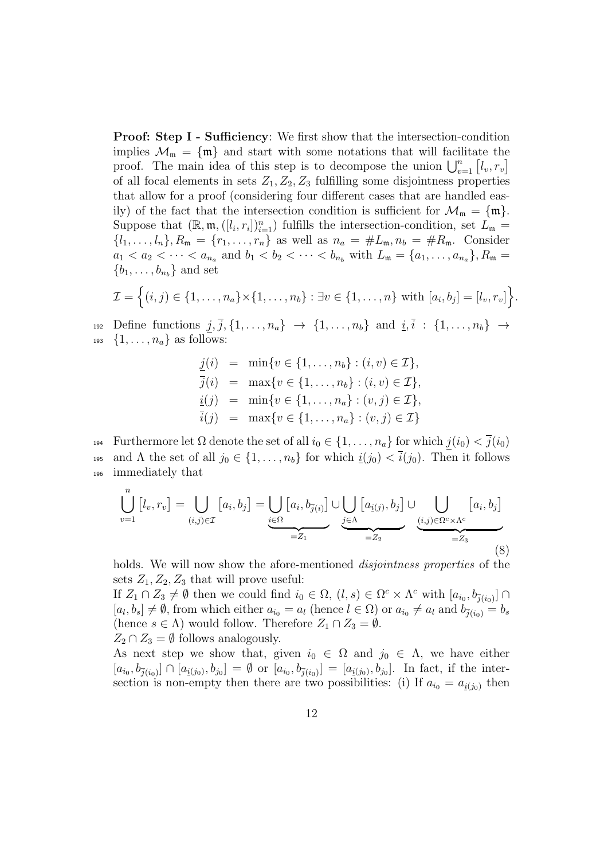**Proof: Step I - Sufficiency:** We first show that the intersection-condition implies  $\mathcal{M}_{m} = \{m\}$  and start with some notations that will facilitate the proof. The main idea of this step is to decompose the union  $\bigcup_{v=1}^{n} [l_v, r_v]$ of all focal elements in sets  $Z_1, Z_2, Z_3$  fulfilling some disjointness properties that allow for a proof (considering four different cases that are handled easily) of the fact that the intersection condition is sufficient for  $\mathcal{M}_{m} = \{m\}$ . Suppose that  $(\mathbb{R}, \mathfrak{m}, ([l_i, r_i])_{i=1}^n)$  fulfills the intersection-condition, set  $L_{\mathfrak{m}} =$  $\{l_1, \ldots, l_n\}, R_{\mathfrak{m}} = \{r_1, \ldots, r_n\}$  as well as  $n_a = \#L_{\mathfrak{m}}, n_b = \#R_{\mathfrak{m}}.$  Consider  $a_1 < a_2 < \cdots < a_{n_a}$  and  $b_1 < b_2 < \cdots < b_{n_b}$  with  $L_{\mathfrak{m}} = \{a_1, \ldots, a_{n_a}\}, R_{\mathfrak{m}} =$  ${b_1, \ldots, b_{n_b}}$  and set

$$
\mathcal{I} = \left\{ (i,j) \in \{1,\ldots,n_a\} \times \{1,\ldots,n_b\} : \exists v \in \{1,\ldots,n\} \text{ with } [a_i,b_j] = [l_v,r_v] \right\}
$$

*.*

192 Define functions  $j, \bar{j}, \{1, \ldots, n_a\} \rightarrow \{1, \ldots, n_b\}$  and  $i, \bar{i} : \{1, \ldots, n_b\} \rightarrow$  $1<sup>93</sup>$  {1, ...,  $n<sub>a</sub>$ } as follows:

> $j(i) = \min\{v \in \{1, \ldots, n_b\} : (i, v) \in \mathcal{I}\},\$  $\overline{j}(i) = \max\{v \in \{1, \ldots, n_b\} : (i, v) \in \mathcal{I}\},\$  $i(j) = \min\{v \in \{1, \ldots, n_a\} : (v, j) \in \mathcal{I}\},\$  $\overline{i}(j) = \max\{v \in \{1, \ldots, n_a\} : (v, j) \in \mathcal{I}\}\$

194 Furthermore let  $\Omega$  denote the set of all  $i_0 \in \{1, \ldots, n_a\}$  for which  $j(i_0) < \overline{j}(i_0)$ 195 and  $\Lambda$  the set of all  $j_0 \in \{1, \ldots, n_b\}$  for which  $\underline{i}(j_0) < \overline{i}(j_0)$ . Then it follows <sup>196</sup> immediately that

$$
\bigcup_{v=1}^{n} [l_v, r_v] = \bigcup_{(i,j)\in\mathcal{I}} [a_i, b_j] = \underbrace{\bigcup_{i\in\Omega} [a_i, b_{\overline{j}(i)}] \cup \bigcup_{j\in\Lambda} [a_{\underline{i}(j)}, b_j] \cup \bigcup_{(i,j)\in\Omega^c\times\Lambda^c} [a_i, b_j]}_{=Z_1} = Z_2
$$
\n(8)

holds. We will now show the afore-mentioned *disjointness properties* of the sets  $Z_1, Z_2, Z_3$  that will prove useful:

If  $Z_1 \cap Z_3 \neq \emptyset$  then we could find  $i_0 \in \Omega$ ,  $(l, s) \in \Omega^c \times \Lambda^c$  with  $[a_{i_0}, b_{\overline{j}(i_0)}] \cap$  $[a_l, b_s] \neq \emptyset$ , from which either  $a_{i_0} = a_l$  (hence  $l \in \Omega$ ) or  $a_{i_0} \neq a_l$  and  $b_{\overline{j}(i_0)} = b_s$ (hence  $s \in \Lambda$ ) would follow. Therefore  $Z_1 \cap Z_3 = \emptyset$ .  $Z_2 \cap Z_3 = \emptyset$  follows analogously.

As next step we show that, given  $i_0 \in \Omega$  and  $j_0 \in \Lambda$ , we have either  $[a_{i_0}, b_{\bar{j}(i_0)}] \cap [a_{\underline{i}(j_0)}, b_{j_0}] = \emptyset$  or  $[a_{i_0}, b_{\bar{j}(i_0)}] = [a_{\underline{i}(j_0)}, b_{j_0}]$ . In fact, if the intersection is non-empty then there are two possibilities: (i) If  $a_{i_0} = a_{i(j_0)}$  then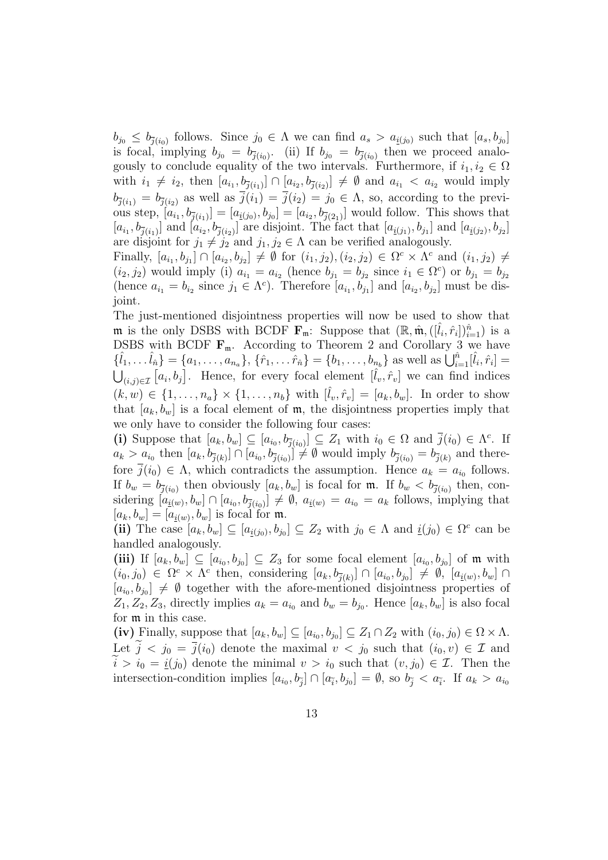$b_{j0} \leq b_{\bar{j}(i_0)}$  follows. Since  $j_0 \in \Lambda$  we can find  $a_s > a_{\underline{i}(j_0)}$  such that  $[a_s, b_{j_0}]$ is focal, implying  $b_{j0} = b_{\bar{j}(i_0)}$ . (ii) If  $b_{j0} = b_{\bar{j}(i_0)}$  then we proceed analogously to conclude equality of the two intervals. Furthermore, if  $i_1, i_2 \in \Omega$ with  $i_1 \neq i_2$ , then  $[a_{i_1}, b_{\overline{j}(i_1)}]$  ∩  $[a_{i_2}, b_{\overline{j}(i_2)}] \neq \emptyset$  and  $a_{i_1} < a_{i_2}$  would imply  $b_{\bar{j}(i_1)} = b_{\bar{j}(i_2)}$  as well as  $\bar{j}(i_1) = \bar{j}(i_2) = j_0 \in \Lambda$ , so, according to the previous step,  $[a_{i_1}, b_{\bar{j}(i_1)}] = [a_{\bar{i}(j_0)}, b_{j_0}] = [a_{i_2}, b_{\bar{j}(2_1)}]$  would follow. This shows that  $[a_{i_1}, b_{\overline{j}(i_1)}]$  and  $[a_{i_2}, b_{\overline{j}(i_2)}]$  are disjoint. The fact that  $[a_{\underline{i}(j_1)}, b_{j_1}]$  and  $[a_{\underline{i}(j_2)}, b_{j_2}]$ are disjoint for  $j_1 \neq j_2$  and  $j_1, j_2 \in \Lambda$  can be verified analogously.

Finally,  $[a_{i_1}, b_{j_1}] \cap [a_{i_2}, b_{j_2}] \neq \emptyset$  for  $(i_1, j_2), (i_2, j_2) \in \Omega^c \times \Lambda^c$  and  $(i_1, j_2) \neq$  $(i_2, j_2)$  would imply (i)  $a_{i_1} = a_{i_2}$  (hence  $b_{j_1} = b_{j_2}$  since  $i_1 \in \Omega^c$ ) or  $b_{j_1} = b_{j_2}$ (hence  $a_{i_1} = b_{i_2}$  since  $j_1 \in \Lambda^c$ ). Therefore  $[a_{i_1}, b_{j_1}]$  and  $[a_{i_2}, b_{j_2}]$  must be disjoint.

The just-mentioned disjointness properties will now be used to show that **m** is the only DSBS with BCDF  $\mathbf{F}_{m}$ : Suppose that  $(\mathbb{R}, \hat{\mathfrak{m}}, ([\hat{l}_i, \hat{r}_i])_{i=1}^{\hat{n}})$  is a DSBS with BCDF  $\mathbf{F}_{m}$ . According to Theorem 2 and Corollary 3 we have  $\{\hat{l}_1, \dots, \hat{l}_n\} = \{a_1, \dots, a_{n_a}\}, \{\hat{r}_1, \dots, \hat{r}_n\} = \{b_1, \dots, b_{n_b}\}\$ as well as  $\bigcup_{i=1}^{\hat{n}} [\hat{l}_i, \hat{r}_i] =$  $\bigcup_{(i,j)\in\mathcal{I}}\left[a_i,b_j\right]$ . Hence, for every focal element  $[\hat{l}_v,\hat{r}_v]$  we can find indices  $(k, w) \in \{1, \ldots, n_a\} \times \{1, \ldots, n_b\}$  with  $[\hat{l}_v, \hat{r}_v] = [a_k, b_w]$ . In order to show that  $[a_k, b_w]$  is a focal element of  $\mathfrak{m}$ , the disjointness properties imply that we only have to consider the following four cases:

(i) Suppose that  $[a_k, b_w] \subseteq [a_{i_0}, b_{\overline{j}(i_0)}] \subseteq Z_1$  with  $i_0 \in \Omega$  and  $\overline{j}(i_0) \in \Lambda^c$ . If  $a_k > a_{i_0}$  then  $[a_k, b_{\overline{j}(k)}] \cap [a_{i_0}, b_{\overline{j}(i_0)}] \neq \emptyset$  would imply  $b_{\overline{j}(i_0)} = b_{\overline{j}(k)}$  and therefore  $\overline{j}(i_0) \in \Lambda$ , which contradicts the assumption. Hence  $a_k = a_{i_0}$  follows. If  $b_w = b_{\bar{j}(i_0)}$  then obviously  $[a_k, b_w]$  is focal for m. If  $b_w < b_{\bar{j}(i_0)}$  then, considering  $[a_{\underline{i}(w)}, b_w] \cap [a_{i_0}, b_{\overline{j}(i_0)}] \neq \emptyset$ ,  $a_{\underline{i}(w)} = a_{i_0} = a_k$  follows, implying that  $[a_k, b_w] = [a_{\underline{i}(w)}, b_w]$  is focal for m.

(ii) The case  $[a_k, b_w] \subseteq [a_{\underline{i}(j_0)}, b_{j_0}] \subseteq Z_2$  with  $j_0 \in \Lambda$  and  $\underline{i}(j_0) \in \Omega^c$  can be handled analogously.

(iii) If  $[a_k, b_w] \subseteq [a_{i_0}, b_{j_0}] \subseteq Z_3$  for some focal element  $[a_{i_0}, b_{j_0}]$  of m with  $(i_0, j_0) \in \Omega^c \times \Lambda^c$  then, considering  $[a_k, b_{\overline{j}(k)}] \cap [a_{i_0}, b_{j_0}] \neq \emptyset$ ,  $[a_{\underline{i}(w)}, b_w] \cap$  $[a_{i_0}, b_{j_0}] \neq \emptyset$  together with the afore-mentioned disjointness properties of  $Z_1, Z_2, Z_3$ , directly implies  $a_k = a_{i_0}$  and  $b_w = b_{j_0}$ . Hence  $[a_k, b_w]$  is also focal for m in this case.

(iv) Finally, suppose that  $[a_k, b_w] \subseteq [a_{i_0}, b_{j_0}] \subseteq Z_1 \cap Z_2$  with  $(i_0, j_0) \in \Omega \times \Lambda$ . Let  $j < j_0 = \overline{j}(i_0)$  denote the maximal  $v < j_0$  such that  $(i_0, v) \in \mathcal{I}$  and  $i > i_0 = i(j_0)$  denote the minimal  $v > i_0$  such that  $(v, j_0) \in \mathcal{I}$ . Then the intersection-condition implies  $[a_{i_0}, b_{\tilde{j}}] \cap [a_{\tilde{i}}, b_{j_0}] = \emptyset$ , so  $b_{\tilde{j}} < a_{\tilde{i}}$ . If  $a_k > a_{i_0}$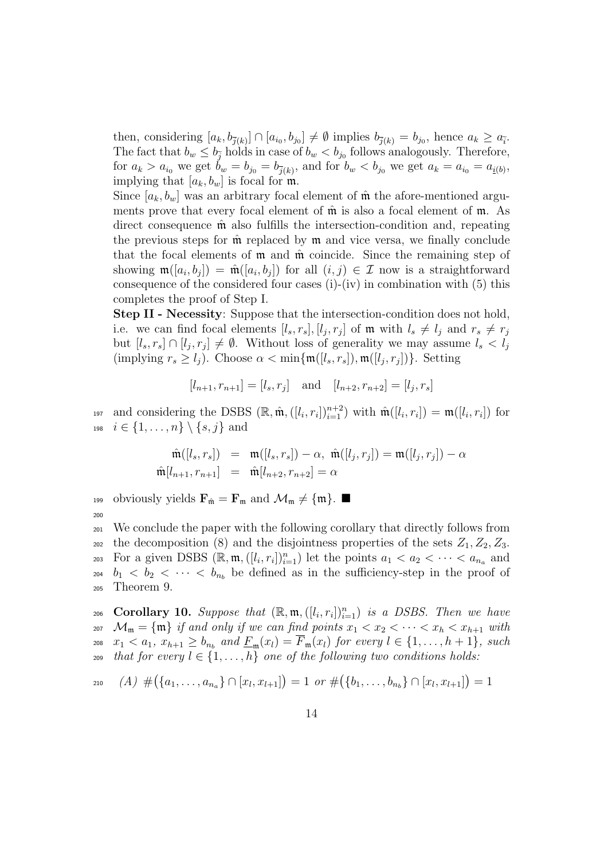then, considering  $[a_k, b_{\bar{j}(k)}] \cap [a_{i_0}, b_{j_0}] \neq \emptyset$  implies  $b_{\bar{j}(k)} = b_{j_0}$ , hence  $a_k \geq a_{\bar{i}}$ . The fact that  $b_w \leq b_{\tilde{j}}$  holds in case of  $b_w < b_{j_0}$  follows analogously. Therefore, for  $a_k > a_{i_0}$  we get  $b_w = b_{j_0} = b_{\bar{j}(k)}$ , and for  $b_w < b_{j_0}$  we get  $a_k = a_{i_0} = a_{\underline{i}(k)}$ , implying that  $[a_k, b_w]$  is focal for  $\mathfrak{m}$ .

Since  $[a_k, b_w]$  was an arbitrary focal element of  $\hat{\mathfrak{m}}$  the afore-mentioned arguments prove that every focal element of  $\hat{\mathfrak{m}}$  is also a focal element of  $\mathfrak{m}$ . As direct consequence  $\hat{\mathfrak{m}}$  also fulfills the intersection-condition and, repeating the previous steps for  $\hat{\mathfrak{m}}$  replaced by  $\mathfrak{m}$  and vice versa, we finally conclude that the focal elements of  $m$  and  $\hat{m}$  coincide. Since the remaining step of showing  $\mathfrak{m}([a_i, b_j]) = \hat{\mathfrak{m}}([a_i, b_j])$  for all  $(i, j) \in \mathcal{I}$  now is a straightforward consequence of the considered four cases (i)-(iv) in combination with (5) this completes the proof of Step I.

**Step II - Necessity**: Suppose that the intersection-condition does not hold, i.e. we can find focal elements  $[l_s, r_s], [l_j, r_j]$  of **m** with  $l_s \neq l_j$  and  $r_s \neq r_j$ but  $[l_s, r_s] \cap [l_j, r_j] \neq \emptyset$ . Without loss of generality we may assume  $l_s < l_j$  $(\text{implying } r_s \ge l_j)$ . Choose  $\alpha < \min\{\mathfrak{m}([l_s, r_s]), \mathfrak{m}([l_j, r_j])\}$ . Setting

 $[l_{n+1}, r_{n+1}] = [l_s, r_j]$  and  $[l_{n+2}, r_{n+2}] = [l_j, r_s]$ 

and considering the DSBS  $(\mathbb{R}, \hat{\mathfrak{m}}, ([l_i, r_i])_{i=1}^{n+2})$  with  $\hat{\mathfrak{m}}([l_i, r_i]) = \mathfrak{m}([l_i, r_i])$  for <sup>198</sup> *i ∈ {*1*, . . . , n} \ {s, j}* and

$$
\hat{\mathfrak{m}}([l_s, r_s]) = \mathfrak{m}([l_s, r_s]) - \alpha, \ \hat{\mathfrak{m}}([l_j, r_j]) = \mathfrak{m}([l_j, r_j]) - \alpha \hat{\mathfrak{m}}[l_{n+1}, r_{n+1}] = \hat{\mathfrak{m}}[l_{n+2}, r_{n+2}] = \alpha
$$

199 obviously yields  $\mathbf{F}_{\hat{\mathfrak{m}}} = \mathbf{F}_{\mathfrak{m}}$  and  $\mathcal{M}_{\mathfrak{m}} \neq \{\mathfrak{m}\}\.$ 200

<sup>201</sup> We conclude the paper with the following corollary that directly follows from 202 the decomposition (8) and the disjointness properties of the sets  $Z_1, Z_2, Z_3$ . For a given DSBS  $(\mathbb{R}, \mathfrak{m}, ([l_i, r_i])_{i=1}^n)$  let the points  $a_1 < a_2 < \cdots < a_{n_a}$  and <sup>204</sup>  $b_1 < b_2 < \cdots < b_{n_b}$  be defined as in the sufficiency-step in the proof of <sup>205</sup> Theorem 9.

**Corollary 10.** Suppose that  $(\mathbb{R}, \mathfrak{m}, ([l_i, r_i])_{i=1}^n)$  is a DSBS. Then we have 207  $\mathcal{M}_m = \{\mathfrak{m}\}\$ if and only if we can find points  $x_1 < x_2 < \cdots < x_h < x_{h+1}$  with  $_{208}$   $x_1 < a_1, x_{h+1} \ge b_{n_b}$  and  $\underline{F}_{\mathfrak{m}}(x_l) = \overline{F}_{\mathfrak{m}}(x_l)$  for every  $l \in \{1, ..., h+1\}$ , such 209 *that for every*  $l \in \{1, \ldots, h\}$  *one of the following two conditions holds:* 

$$
210 \quad (A) \#(\lbrace a_1,\ldots,a_{n_a}\rbrace \cap [x_l,x_{l+1}]\rbrace = 1 \text{ or } \#(\lbrace b_1,\ldots,b_{n_b}\rbrace \cap [x_l,x_{l+1}]\rbrace = 1
$$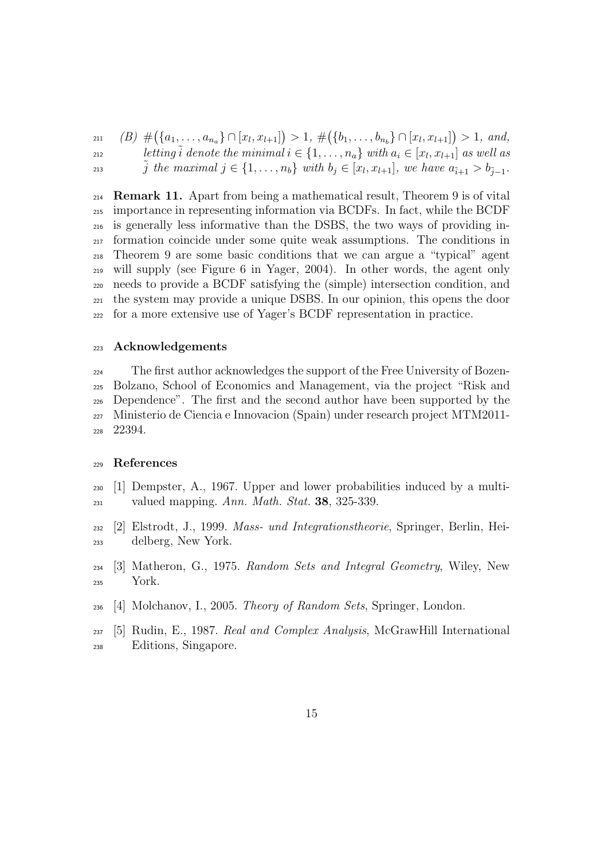$_{211}$  (B)  $\#(\lbrace a_1,\ldots,a_{n_a}\rbrace \cap [x_l,x_{l+1}]) > 1, \#(\lbrace b_1,\ldots,b_{n_b}\rbrace \cap [x_l,x_{l+1}]) > 1, and$ *letting*  $\tilde{i}$  *denote the minimal*  $i \in \{1, \ldots, n_a\}$  *with*  $a_i \in [x_l, x_{l+1}]$  *as well as* 213  $\tilde{j}$  the maximal  $j \in \{1, ..., n_b\}$  with  $b_j \in [x_l, x_{l+1}],$  we have  $a_{\tilde{i}+1} > b_{\tilde{j}-1}.$ 

 **Remark 11.** Apart from being a mathematical result, Theorem 9 is of vital importance in representing information via BCDFs. In fact, while the BCDF is generally less informative than the DSBS, the two ways of providing in- formation coincide under some quite weak assumptions. The conditions in Theorem 9 are some basic conditions that we can argue a "typical" agent will supply (see Figure 6 in Yager, 2004). In other words, the agent only needs to provide a BCDF satisfying the (simple) intersection condition, and the system may provide a unique DSBS. In our opinion, this opens the door for a more extensive use of Yager's BCDF representation in practice.

#### **Acknowledgements**

 The first author acknowledges the support of the Free University of Bozen- Bolzano, School of Economics and Management, via the project "Risk and Dependence". The first and the second author have been supported by the Ministerio de Ciencia e Innovacion (Spain) under research project MTM2011- 22394.

### **References**

- [1] Dempster, A., 1967. Upper and lower probabilities induced by a multi-valued mapping. *Ann. Math. Stat.* **38**, 325-339.
- [2] Elstrodt, J., 1999. *Mass- und Integrationstheorie*, Springer, Berlin, Hei-delberg, New York.
- [3] Matheron, G., 1975. *Random Sets and Integral Geometry*, Wiley, New York.
- [4] Molchanov, I., 2005. *Theory of Random Sets*, Springer, London.
- [5] Rudin, E., 1987. *Real and Complex Analysis*, McGrawHill International Editions, Singapore.